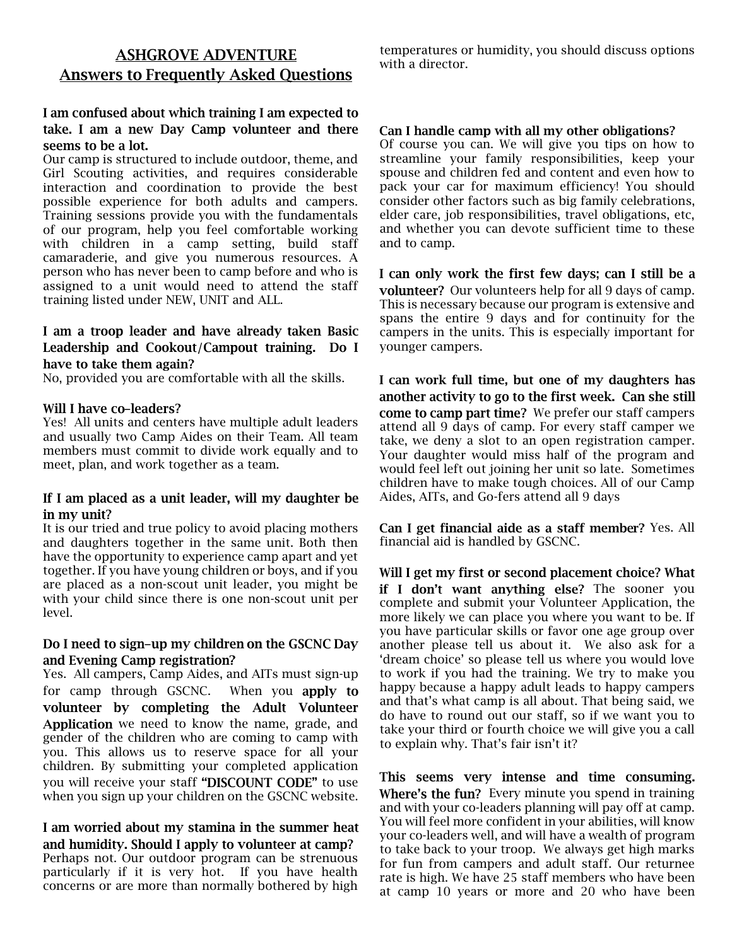# **ASHGROVE ADVENTURE Answers to Frequently Asked Questions**

## I am confused about which training I am expected to take. I am a new Day Camp volunteer and there seems to be a lot.

Our camp is structured to include outdoor, theme, and Girl Scouting activities, and requires considerable interaction and coordination to provide the best possible experience for both adults and campers. Training sessions provide you with the fundamentals of our program, help you feel comfortable working with children in a camp setting, build staff camaraderie, and give you numerous resources. A person who has never been to camp before and who is assigned to a unit would need to attend the staff training listed under NEW, UNIT and ALL.

## I am a troop leader and have already taken Basic Leadership and Cookout/Campout training. Do I have to take them again?

No, provided you are comfortable with all the skills.

### Will I have co-leaders?

Yes! All units and centers have multiple adult leaders and usually two Camp Aides on their Team. All team members must commit to divide work equally and to meet, plan, and work together as a team.

## If I am placed as a unit leader, will my daughter be in my unit?

It is our tried and true policy to avoid placing mothers and daughters together in the same unit. Both then have the opportunity to experience camp apart and yet together. If you have young children or boys, and if you are placed as a non-scout unit leader, you might be with your child since there is one non-scout unit per level.

### Do I need to sign-up my children on the GSCNC Day and Evening Camp registration?

Yes. All campers, Camp Aides, and AITs must sign-up for camp through GSCNC. When you apply to volunteer by completing the Adult Volunteer Application we need to know the name, grade, and gender of the children who are coming to camp with you. This allows us to reserve space for all your children. By submitting your completed application you will receive your staff "DISCOUNT CODE" to use when you sign up your children on the GSCNC website.

I am worried about my stamina in the summer heat and humidity. Should I apply to volunteer at camp? Perhaps not. Our outdoor program can be strenuous particularly if it is very hot. If you have health concerns or are more than normally bothered by high

temperatures or humidity, you should discuss options with a director.

#### Can I handle camp with all my other obligations?

Of course you can. We will give you tips on how to streamline your family responsibilities, keep your spouse and children fed and content and even how to pack your car for maximum efficiency! You should consider other factors such as big family celebrations, elder care, job responsibilities, travel obligations, etc, and whether you can devote sufficient time to these and to camp.

I can only work the first few days; can I still be a volunteer? Our volunteers help for all 9 days of camp. This is necessary because our program is extensive and spans the entire 9 days and for continuity for the campers in the units. This is especially important for younger campers.

I can work full time, but one of my daughters has another activity to go to the first week. Can she still come to camp part time? We prefer our staff campers attend all 9 days of camp. For every staff camper we take, we deny a slot to an open registration camper. Your daughter would miss half of the program and would feel left out joining her unit so late. Sometimes children have to make tough choices. All of our Camp Aides, AITs, and Go-fers attend all 9 days

Can I get financial aide as a staff member? Yes. All financial aid is handled by GSCNC.

Will I get my first or second placement choice? What if I don't want anything else? The sooner you complete and submit your Volunteer Application, the more likely we can place you where you want to be. If you have particular skills or favor one age group over another please tell us about it. We also ask for a 'dream choice' so please tell us where you would love to work if you had the training. We try to make you happy because a happy adult leads to happy campers and that's what camp is all about. That being said, we do have to round out our staff, so if we want you to take your third or fourth choice we will give you a call to explain why. That's fair isn't it?

This seems very intense and time consuming. Where's the fun? Every minute you spend in training and with your co-leaders planning will pay off at camp. You will feel more confident in your abilities, will know your co-leaders well, and will have a wealth of program to take back to your troop. We always get high marks for fun from campers and adult staff. Our returnee rate is high. We have 25 staff members who have been at camp 10 years or more and 20 who have been